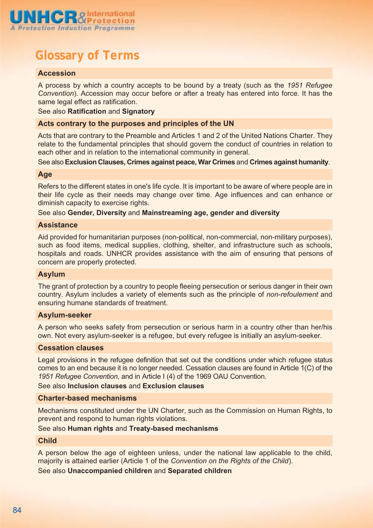

# **Glossary of Terms**

## **Accession**

A process by which a country accepts to be bound by a treaty (such as the *1951 Refugee Convention*). Accession may occur before or after a treaty has entered into force. It has the same legal effect as ratification.

## See also **Ratification** and **Signatory**

## **Acts contrary to the purposes and principles of the UN**

Acts that are contrary to the Preamble and Articles 1 and 2 of the United Nations Charter. They relate to the fundamental principles that should govern the conduct of countries in relation to each other and in relation to the international community in general.

See also**Exclusion Clauses, Crimes against peace, War Crimes** and **Crimes against humanity**.

#### **Age**

Refers to the different states in one's life cycle. It is important to be aware of where people are in their life cycle as their needs may change over time. Age influences and can enhance or diminish capacity to exercise rights.

## See also **Gender, Diversity** and **Mainstreaming age, gender and diversity**

#### **Assistance**

Aid provided for humanitarian purposes (non-political, non-commercial, non-military purposes), such as food items, medical supplies, clothing, shelter, and infrastructure such as schools, hospitals and roads. UNHCR provides assistance with the aim of ensuring that persons of concern are properly protected.

#### **Asylum**

The grant of protection by a country to people fleeing persecution or serious danger in their own country. Asylum includes a variety of elements such as the principle of *non-refoulement* and ensuring humane standards of treatment.

## **Asylum-seeker**

A person who seeks safety from persecution or serious harm in a country other than her/his own. Not every asylum-seeker is a refugee, but every refugee is initially an asylum-seeker.

## **Cessation clauses**

Legal provisions in the refugee definition that set out the conditions under which refugee status comes to an end because it is no longer needed. Cessation clauses are found in Article 1(C) of the *1951 Refugee Convention*, and in Article I (4) of the 1969 OAU Convention.

See also **Inclusion clauses** and **Exclusion clauses**

## **Charter-based mechanisms**

Mechanisms constituted under the UN Charter, such as the Commission on Human Rights, to prevent and respond to human rights violations.

## See also **Human rights** and **Treaty-based mechanisms**

#### **Child**

A person below the age of eighteen unless, under the national law applicable to the child, majority is attained earlier (Article 1 of the *Convention on the Rights of the Child*).

See also **Unaccompanied children** and **Separated children**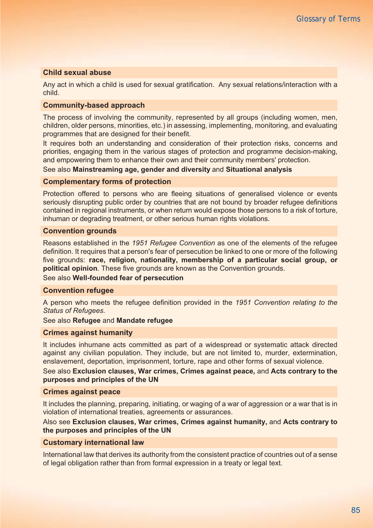## **Child sexual abuse**

Any act in which a child is used for sexual gratification. Any sexual relations/interaction with a child.

#### **Community-based approach**

The process of involving the community, represented by all groups (including women, men, children, older persons, minorities, etc.) in assessing, implementing, monitoring, and evaluating programmes that are designed for their benefit.

It requires both an understanding and consideration of their protection risks, concerns and priorities, engaging them in the various stages of protection and programme decision-making, and empowering them to enhance their own and their community members' protection.

See also **Mainstreaming age, gender and diversity** and **Situational analysis**

## **Complementary forms of protection**

Protection offered to persons who are fleeing situations of generalised violence or events seriously disrupting public order by countries that are not bound by broader refugee definitions contained in regional instruments, or when return would expose those persons to a risk of torture, inhuman or degrading treatment, or other serious human rights violations.

## **Convention grounds**

Reasons established in the *1951 Refugee Convention* as one of the elements of the refugee definition. It requires that a person's fear of persecution be linked to one or more of the following five grounds: **race, religion, nationality, membership of a particular social group, or political opinion**. These five grounds are known as the Convention grounds.

#### See also **Well-founded fear of persecution**

#### **Convention refugee**

A person who meets the refugee definition provided in the *1951 Convention relating to the Status of Refugees.*

## See also **Refugee** and **Mandate refugee**

#### **Crimes against humanity**

It includes inhumane acts committed as part of a widespread or systematic attack directed against any civilian population. They include, but are not limited to, murder, extermination, enslavement, deportation, imprisonment, torture, rape and other forms of sexual violence.

See also **Exclusion clauses, War crimes, Crimes against peace,** and **Acts contrary to the purposes and principles of the UN**

#### **Crimes against peace**

It includes the planning, preparing, initiating, or waging of a war of aggression or a war that is in violation of international treaties, agreements or assurances.

## Also see **Exclusion clauses, War crimes, Crimes against humanity,** and **Acts contrary to the purposes and principles of the UN**

#### **Customary international law**

International law that derives its authority from the consistent practice of countries out of a sense of legal obligation rather than from formal expression in a treaty or legal text.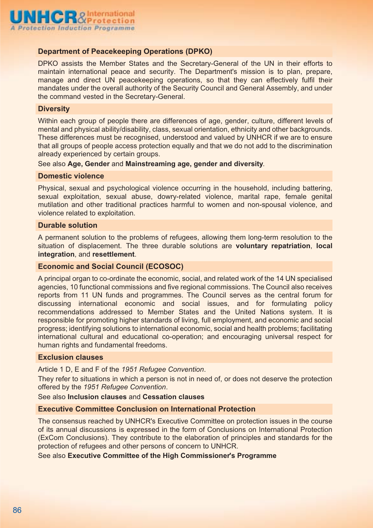

## **Department of Peacekeeping Operations (DPKO)**

DPKO assists the Member States and the Secretary-General of the UN in their efforts to maintain international peace and security. The Department's mission is to plan, prepare, manage and direct UN peacekeeping operations, so that they can effectively fulfil their mandates under the overall authority of the Security Council and General Assembly, and under the command vested in the Secretary-General.

#### **Diversity**

Within each group of people there are differences of age, gender, culture, different levels of mental and physical ability/disability, class, sexual orientation, ethnicity and other backgrounds. These differences must be recognised, understood and valued by UNHCR if we are to ensure that all groups of people access protection equally and that we do not add to the discrimination already experienced by certain groups.

See also **Age, Gender** and **Mainstreaming age, gender and diversity**.

## **Domestic violence**

Physical, sexual and psychological violence occurring in the household, including battering, sexual exploitation, sexual abuse, dowry-related violence, marital rape, female genital mutilation and other traditional practices harmful to women and non-spousal violence, and violence related to exploitation.

## **Durable solution**

A permanent solution to the problems of refugees, allowing them long-term resolution to the situation of displacement. The three durable solutions are **voluntary repatriation**, **local integration**, and **resettlement**.

#### **Economic and Social Council (ECOSOC)**

A principal organ to co-ordinate the economic, social, and related work of the 14 UN specialised agencies, 10 functional commissions and five regional commissions. The Council also receives reports from 11 UN funds and programmes. The Council serves as the central forum for discussing international economic and social issues, and for formulating policy recommendations addressed to Member States and the United Nations system. It is responsible for promoting higher standards of living, full employment, and economic and social progress; identifying solutions to international economic, social and health problems; facilitating international cultural and educational co-operation; and encouraging universal respect for human rights and fundamental freedoms.

## **Exclusion clauses**

Article 1 D, E and F of the *1951 Refugee Convention*.

They refer to situations in which a person is not in need of, or does not deserve the protection offered by the *1951 Refugee Convention*.

See also **Inclusion clauses** and **Cessation clauses**

## **Executive Committee Conclusion on International Protection**

The consensus reached by UNHCR's Executive Committee on protection issues in the course of its annual discussions is expressed in the form of Conclusions on International Protection (ExCom Conclusions). They contribute to the elaboration of principles and standards for the protection of refugees and other persons of concern to UNHCR.

See also **Executive Committee of the High Commissioner's Programme**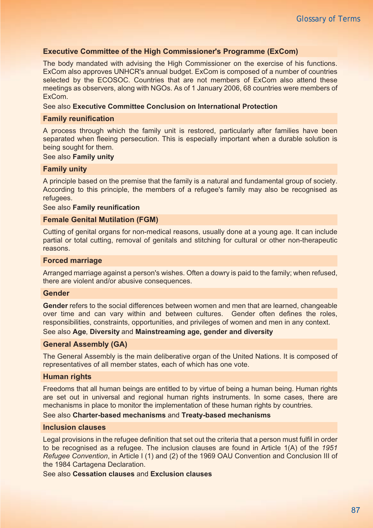## **Executive Committee of the High Commissioner's Programme (ExCom)**

The body mandated with advising the High Commissioner on the exercise of his functions. ExCom also approves UNHCR's annual budget. ExCom is composed of a number of countries selected by the ECOSOC. Countries that are not members of ExCom also attend these meetings as observers, along with NGOs. As of 1 January 2006, 68 countries were members of ExCom.

## See also **Executive Committee Conclusion on International Protection**

#### **Family reunification**

A process through which the family unit is restored, particularly after families have been separated when fleeing persecution. This is especially important when a durable solution is being sought for them.

## See also **Family unity**

#### **Family unity**

A principle based on the premise that the family is a natural and fundamental group of society. According to this principle, the members of a refugee's family may also be recognised as refugees.

#### See also **Family reunification**

#### **Female Genital Mutilation (FGM)**

Cutting of genital organs for non-medical reasons, usually done at a young age. It can include partial or total cutting, removal of genitals and stitching for cultural or other non-therapeutic reasons.

## **Forced marriage**

Arranged marriage against a person's wishes. Often a dowry is paid to the family; when refused, there are violent and/or abusive consequences.

#### **Gender**

**Gender** refers to the social differences between women and men that are learned, changeable over time and can vary within and between cultures. Gender often defines the roles, responsibilities, constraints, opportunities, and privileges of women and men in any context.

## See also **Age**, **Diversity** and **Mainstreaming age, gender and diversity**

## **General Assembly (GA)**

The General Assembly is the main deliberative organ of the United Nations. It is composed of representatives of all member states, each of which has one vote.

#### **Human rights**

Freedoms that all human beings are entitled to by virtue of being a human being. Human rights are set out in universal and regional human rights instruments. In some cases, there are mechanisms in place to monitor the implementation of these human rights by countries.

## See also **Charter-based mechanisms** and **Treaty-based mechanisms**

#### **Inclusion clauses**

Legal provisions in the refugee definition that set out the criteria that a person must fulfil in order to be recognised as a refugee. The inclusion clauses are found in Article 1(A) of the *1951 Refugee Convention*, in Article I (1) and (2) of the 1969 OAU Convention and Conclusion III of the 1984 Cartagena Declaration.

See also **Cessation clauses** and **Exclusion clauses**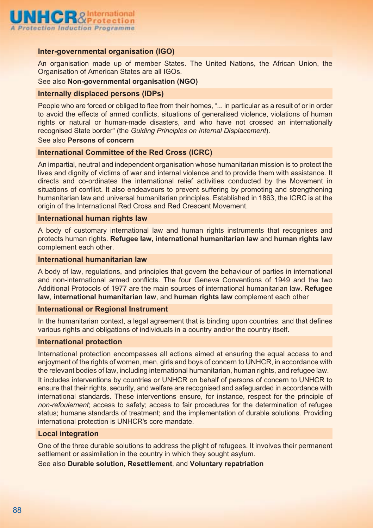

## **Inter-governmental organisation (IGO)**

An organisation made up of member States. The United Nations, the African Union, the Organisation of American States are all IGOs.

See also **Non-governmental organisation (NGO)**

## **Internally displaced persons (IDPs)**

People who are forced or obliged to flee from their homes, "... in particular as a result of or in order to avoid the effects of armed conflicts, situations of generalised violence, violations of human rights or natural or human-made disasters, and who have not crossed an internationally recognised State border" (the *Guiding Principles on Internal Displacement*).

#### See also **Persons of concern**

## **International Committee of the Red Cross (ICRC)**

An impartial, neutral and independent organisation whose humanitarian mission is to protect the lives and dignity of victims of war and internal violence and to provide them with assistance. It directs and co-ordinates the international relief activities conducted by the Movement in situations of conflict. It also endeavours to prevent suffering by promoting and strengthening humanitarian law and universal humanitarian principles. Established in 1863, the ICRC is at the origin of the International Red Cross and Red Crescent Movement.

## **International human rights law**

A body of customary international law and human rights instruments that recognises and protects human rights. **Refugee law, international humanitarian law** and **human rights law** complement each other.

## **International humanitarian law**

A body of law, regulations, and principles that govern the behaviour of parties in international and non-international armed conflicts. The four Geneva Conventions of 1949 and the two Additional Protocols of 1977 are the main sources of international humanitarian law. **Refugee law**, **international humanitarian law**, and **human rights law** complement each other

#### **International or Regional Instrument**

In the humanitarian context, a legal agreement that is binding upon countries, and that defines various rights and obligations of individuals in a country and/or the country itself.

## **International protection**

International protection encompasses all actions aimed at ensuring the equal access to and enjoyment of the rights of women, men, girls and boys of concern to UNHCR, in accordance with the relevant bodies of law, including international humanitarian, human rights, and refugee law. It includes interventions by countries or UNHCR on behalf of persons of concern to UNHCR to ensure that their rights, security, and welfare are recognised and safeguarded in accordance with international standards. These interventions ensure, for instance, respect for the principle of *non-refoulement*; access to safety; access to fair procedures for the determination of refugee status; humane standards of treatment; and the implementation of durable solutions. Providing international protection is UNHCR's core mandate.

## **Local integration**

One of the three durable solutions to address the plight of refugees. It involves their permanent settlement or assimilation in the country in which they sought asylum.

See also **Durable solution, Resettlement**, and **Voluntary repatriation**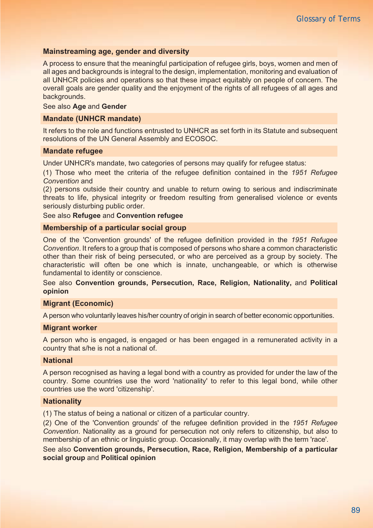## **Mainstreaming age, gender and diversity**

A process to ensure that the meaningful participation of refugee girls, boys, women and men of all ages and backgrounds is integral to the design, implementation, monitoring and evaluation of all UNHCR policies and operations so that these impact equitably on people of concern. The overall goals are gender quality and the enjoyment of the rights of all refugees of all ages and backgrounds.

#### See also **Age** and **Gender**

## **Mandate (UNHCR mandate)**

It refers to the role and functions entrusted to UNHCR as set forth in its Statute and subsequent resolutions of the UN General Assembly and ECOSOC.

#### **Mandate refugee**

Under UNHCR's mandate, two categories of persons may qualify for refugee status:

(1) Those who meet the criteria of the refugee definition contained in the *1951 Refugee Convention* and

(2) persons outside their country and unable to return owing to serious and indiscriminate threats to life, physical integrity or freedom resulting from generalised violence or events seriously disturbing public order.

## See also **Refugee** and **Convention refugee**

### **Membership of a particular social group**

One of the 'Convention grounds' of the refugee definition provided in the *1951 Refugee Convention*. It refers to a group that is composed of persons who share a common characteristic other than their risk of being persecuted, or who are perceived as a group by society. The characteristic will often be one which is innate, unchangeable, or which is otherwise fundamental to identity or conscience.

See also **Convention grounds, Persecution, Race, Religion, Nationality,** and **Political opinion**

## **Migrant (Economic)**

A person who voluntarily leaves his/her country of origin in search of better economic opportunities.

## **Migrant worker**

A person who is engaged, is engaged or has been engaged in a remunerated activity in a country that s/he is not a national of.

## **National**

A person recognised as having a legal bond with a country as provided for under the law of the country. Some countries use the word 'nationality' to refer to this legal bond, while other countries use the word 'citizenship'.

#### **Nationality**

(1) The status of being a national or citizen of a particular country.

(2) One of the 'Convention grounds' of the refugee definition provided in the *1951 Refugee Convention*. Nationality as a ground for persecution not only refers to citizenship, but also to membership of an ethnic or linguistic group. Occasionally, it may overlap with the term 'race'.

See also **Convention grounds, Persecution, Race, Religion, Membership of a particular social group** and **Political opinion**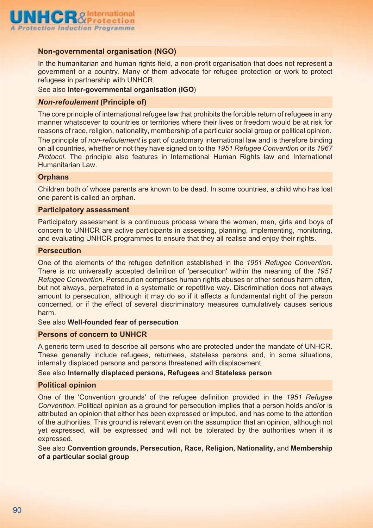

## **Non-governmental organisation (NGO)**

In the humanitarian and human rights field, a non-profit organisation that does not represent a government or a country. Many of them advocate for refugee protection or work to protect refugees in partnership with UNHCR.

#### See also **Inter-governmental organisation (IGO**)

## *Non-refoulement* **(Principle of)**

The core principle of international refugee law that prohibits the forcible return of refugees in any manner whatsoever to countries or territories where their lives or freedom would be at risk for reasons of race, religion, nationality, membership of a particular social group or political opinion. The principle of *non-refoulement* is part of customary international law and is therefore binding on all countries, whether or not they have signed on to the *1951 Refugee Convention* or its *1967 Protocol*. The principle also features in International Human Rights law and International Humanitarian Law.

## **Orphans**

Children both of whose parents are known to be dead. In some countries, a child who has lost one parent is called an orphan.

#### **Participatory assessment**

Participatory assessment is a continuous process where the women, men, girls and boys of concern to UNHCR are active participants in assessing, planning, implementing, monitoring, and evaluating UNHCR programmes to ensure that they all realise and enjoy their rights.

#### **Persecution**

One of the elements of the refugee definition established in the *1951 Refugee Convention*. There is no universally accepted definition of 'persecution' within the meaning of the *1951 Refugee Convention*. Persecution comprises human rights abuses or other serious harm often, but not always, perpetrated in a systematic or repetitive way. Discrimination does not always amount to persecution, although it may do so if it affects a fundamental right of the person concerned, or if the effect of several discriminatory measures cumulatively causes serious harm.

#### See also **Well-founded fear of persecution**

#### **Persons of concern to UNHCR**

A generic term used to describe all persons who are protected under the mandate of UNHCR. These generally include refugees, returnees, stateless persons and, in some situations, internally displaced persons and persons threatened with displacement.

#### See also **Internally displaced persons, Refugees** and **Stateless person**

## **Political opinion**

One of the 'Convention grounds' of the refugee definition provided in the *1951 Refugee Convention*. Political opinion as a ground for persecution implies that a person holds and/or is attributed an opinion that either has been expressed or imputed, and has come to the attention of the authorities. This ground is relevant even on the assumption that an opinion, although not yet expressed, will be expressed and will not be tolerated by the authorities when it is expressed.

See also **Convention grounds, Persecution, Race, Religion, Nationality,** and **Membership of a particular social group**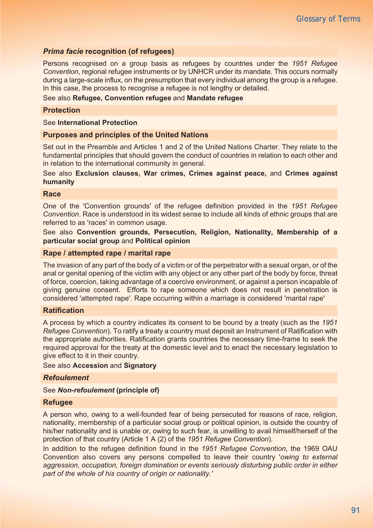## *Prima facie* **recognition (of refugees)**

Persons recognised on a group basis as refugees by countries under the *1951 Refugee Convention*, regional refugee instruments or by UNHCR under its mandate. This occurs normally during a large-scale influx, on the presumption that every individual among the group is a refugee. In this case, the process to recognise a refugee is not lengthy or detailed.

## See also **Refugee, Convention refugee** and **Mandate refugee**

## **Protection**

## See **International Protection**

## **Purposes and principles of the United Nations**

Set out in the Preamble and Articles 1 and 2 of the United Nations Charter. They relate to the fundamental principles that should govern the conduct of countries in relation to each other and in relation to the international community in general.

## See also **Exclusion clauses, War crimes, Crimes against peace,** and **Crimes against humanity**

#### **Race**

One of the 'Convention grounds' of the refugee definition provided in the *1951 Refugee Convention*. Race is understood in its widest sense to include all kinds of ethnic groups that are referred to as 'races' in common usage.

See also **Convention grounds, Persecution, Religion, Nationality, Membership of a particular social group** and **Political opinion**

## **Rape / attempted rape / marital rape**

The invasion of any part of the body of a victim or of the perpetrator with a sexual organ, or of the anal or genital opening of the victim with any object or any other part of the body by force, threat of force, coercion, taking advantage of a coercive environment, or against a person incapable of giving genuine consent. Efforts to rape someone which does not result in penetration is considered 'attempted rape'. Rape occurring within a marriage is considered 'marital rape'

## **Ratification**

A process by which a country indicates its consent to be bound by a treaty (such as the *1951 Refugee Convention*). To ratify a treaty a country must deposit an Instrument of Ratification with the appropriate authorities. Ratification grants countries the necessary time-frame to seek the required approval for the treaty at the domestic level and to enact the necessary legislation to give effect to it in their country.

See also **Accession** and **Signatory**

## *Refoulement*

See *Non-refoulement* **(principle of)**

#### **Refugee**

A person who, owing to a well-founded fear of being persecuted for reasons of race, religion, nationality, membership of a particular social group or political opinion, is outside the country of his/her nationality and is unable or, owing to such fear, is unwilling to avail himself/herself of the protection of that country (Article 1 A (2) of the *1951 Refugee Convention*).

In addition to the refugee definition found in the *1951 Refugee Convention*, the 1969 OAU Convention also covers any persons compelled to leave their country '*owing to external aggression, occupation, foreign domination or events seriously disturbing public order in either part of the whole of his country of origin or nationality.'*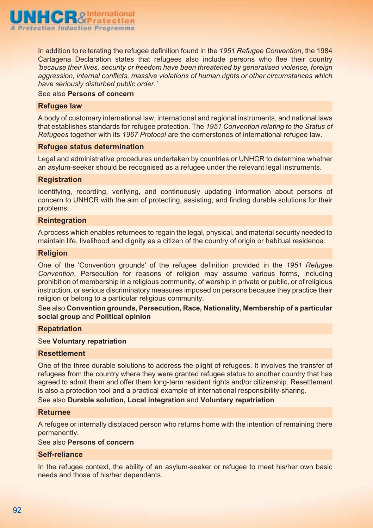

In addition to reiterating the refugee definition found in the *1951 Refugee Convention*, the 1984 Cartagena Declaration states that refugees also include persons who flee their country *'because their lives, security or freedom have been threatened by generalised violence, foreign aggression, internal conflicts, massive violations of human rights or other circumstances which have seriously disturbed public order.'*

## See also **Persons of concern**

## **Refugee law**

A body of customary international law, international and regional instruments, and national laws that establishes standards for refugee protection. The *1951 Convention relating to the Status of Refugees* together with its *1967 Protocol* are the cornerstones of international refugee law.

#### **Refugee status determination**

Legal and administrative procedures undertaken by countries or UNHCR to determine whether an asylum-seeker should be recognised as a refugee under the relevant legal instruments.

#### **Registration**

Identifying, recording, verifying, and continuously updating information about persons of concern to UNHCR with the aim of protecting, assisting, and finding durable solutions for their problems.

## **Reintegration**

A process which enables returnees to regain the legal, physical, and material security needed to maintain life, livelihood and dignity as a citizen of the country of origin or habitual residence.

#### **Religion**

One of the 'Convention grounds' of the refugee definition provided in the *1951 Refugee Convention*. Persecution for reasons of religion may assume various forms, including prohibition of membership in a religious community, of worship in private or public, or of religious instruction, or serious discriminatory measures imposed on persons because they practice their religion or belong to a particular religious community.

See also **Convention grounds, Persecution, Race, Nationality, Membership of a particular social group** and **Political opinion**

#### **Repatriation**

## See **Voluntary repatriation**

## **Resettlement**

One of the three durable solutions to address the plight of refugees. It involves the transfer of refugees from the country where they were granted refugee status to another country that has agreed to admit them and offer them long-term resident rights and/or citizenship. Resettlement is also a protection tool and a practical example of international responsibility-sharing.

See also **Durable solution, Local integration** and **Voluntary repatriation**

#### **Returnee**

A refugee or internally displaced person who returns home with the intention of remaining there permanently.

## See also **Persons of concern**

## **Self-reliance**

In the refugee context, the ability of an asylum-seeker or refugee to meet his/her own basic needs and those of his/her dependants.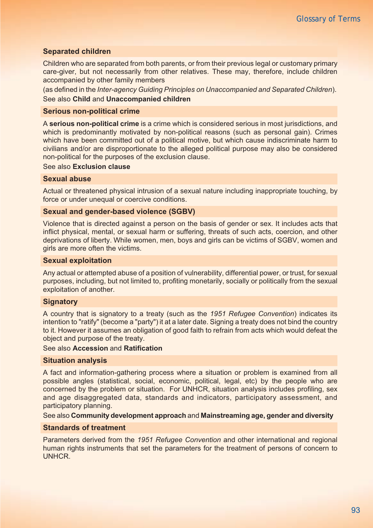## **Separated children**

Children who are separated from both parents, or from their previous legal or customary primary care-giver, but not necessarily from other relatives. These may, therefore, include children accompanied by other family members

(as defined in the *Inter-agency Guiding Principles on Unaccompanied and Separated Children*).

## See also **Child** and **Unaccompanied children**

## **Serious non-political crime**

A **serious non-political crime** is a crime which is considered serious in most jurisdictions, and which is predominantly motivated by non-political reasons (such as personal gain). Crimes which have been committed out of a political motive, but which cause indiscriminate harm to civilians and/or are disproportionate to the alleged political purpose may also be considered non-political for the purposes of the exclusion clause.

See also **Exclusion clause**

## **Sexual abuse**

Actual or threatened physical intrusion of a sexual nature including inappropriate touching, by force or under unequal or coercive conditions.

## **Sexual and gender-based violence (SGBV)**

Violence that is directed against a person on the basis of gender or sex. It includes acts that inflict physical, mental, or sexual harm or suffering, threats of such acts, coercion, and other deprivations of liberty. While women, men, boys and girls can be victims of SGBV, women and girls are more often the victims.

## **Sexual exploitation**

Any actual or attempted abuse of a position of vulnerability, differential power, or trust, for sexual purposes, including, but not limited to, profiting monetarily, socially or politically from the sexual exploitation of another.

## **Signatory**

A country that is signatory to a treaty (such as the *1951 Refugee Convention*) indicates its intention to "ratify" (become a "party") it at a later date. Signing a treaty does not bind the country to it. However it assumes an obligation of good faith to refrain from acts which would defeat the object and purpose of the treaty.

## See also **Accession** and **Ratification**

#### **Situation analysis**

A fact and information-gathering process where a situation or problem is examined from all possible angles (statistical, social, economic, political, legal, etc) by the people who are concerned by the problem or situation. For UNHCR, situation analysis includes profiling, sex and age disaggregated data, standards and indicators, participatory assessment, and participatory planning.

## See also **Community development approach** and **Mainstreaming age, gender and diversity**

## **Standards of treatment**

Parameters derived from the *1951 Refugee Convention* and other international and regional human rights instruments that set the parameters for the treatment of persons of concern to UNHCR.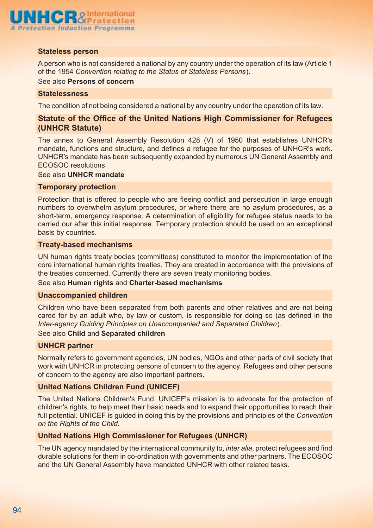

## **Stateless person**

A person who is not considered a national by any country under the operation of its law (Article 1 of the 1954 *Convention relating to the Status of Stateless Persons*).

See also **Persons of concern**

#### **Statelessness**

The condition of not being considered a national by any country under the operation of its law.

## **Statute of the Office of the United Nations High Commissioner for Refugees (UNHCR Statute)**

The annex to General Assembly Resolution 428 (V) of 1950 that establishes UNHCR's mandate, functions and structure, and defines a refugee for the purposes of UNHCR's work. UNHCR's mandate has been subsequently expanded by numerous UN General Assembly and ECOSOC resolutions.

#### See also **UNHCR mandate**

#### **Temporary protection**

Protection that is offered to people who are fleeing conflict and persecution in large enough numbers to overwhelm asylum procedures, or where there are no asylum procedures, as a short-term, emergency response. A determination of eligibility for refugee status needs to be carried our after this initial response. Temporary protection should be used on an exceptional basis by countries.

## **Treaty-based mechanisms**

UN human rights treaty bodies (committees) constituted to monitor the implementation of the core international human rights treaties. They are created in accordance with the provisions of the treaties concerned. Currently there are seven treaty monitoring bodies.

#### See also **Human rights** and **Charter-based mechanisms**

#### **Unaccompanied children**

Children who have been separated from both parents and other relatives and are not being cared for by an adult who, by law or custom, is responsible for doing so (as defined in the *Inter-agency Guiding Principles on Unaccompanied and Separated Children*).

## See also **Child** and **Separated children**

#### **UNHCR partner**

Normally refers to government agencies, UN bodies, NGOs and other parts of civil society that work with UNHCR in protecting persons of concern to the agency. Refugees and other persons of concern to the agency are also important partners.

## **United Nations Children Fund (UNICEF)**

The United Nations Children's Fund. UNICEF's mission is to advocate for the protection of children's rights, to help meet their basic needs and to expand their opportunities to reach their full potential. UNICEF is guided in doing this by the provisions and principles of the *Convention on the Rights of the Child.*

## **United Nations High Commissioner for Refugees (UNHCR)**

The UN agency mandated by the international community to, *inter alia*, protect refugees and find durable solutions for them in co-ordination with governments and other partners. The ECOSOC and the UN General Assembly have mandated UNHCR with other related tasks.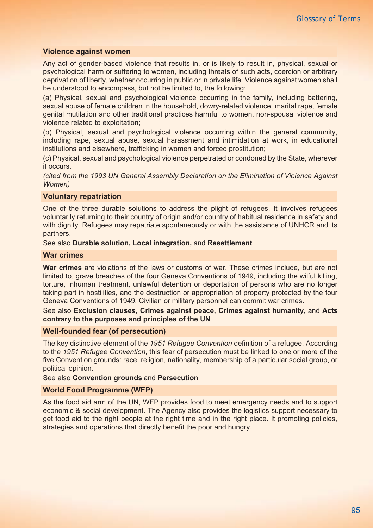## **Violence against women**

Any act of gender-based violence that results in, or is likely to result in, physical, sexual or psychological harm or suffering to women, including threats of such acts, coercion or arbitrary deprivation of liberty, whether occurring in public or in private life. Violence against women shall be understood to encompass, but not be limited to, the following:

(a) Physical, sexual and psychological violence occurring in the family, including battering, sexual abuse of female children in the household, dowry-related violence, marital rape, female genital mutilation and other traditional practices harmful to women, non-spousal violence and violence related to exploitation;

(b) Physical, sexual and psychological violence occurring within the general community, including rape, sexual abuse, sexual harassment and intimidation at work, in educational institutions and elsewhere, trafficking in women and forced prostitution;

(c) Physical, sexual and psychological violence perpetrated or condoned by the State, wherever it occurs.

*(cited from the 1993 UN General Assembly Declaration on the Elimination of Violence Against Women)*

#### **Voluntary repatriation**

One of the three durable solutions to address the plight of refugees. It involves refugees voluntarily returning to their country of origin and/or country of habitual residence in safety and with dignity. Refugees may repatriate spontaneously or with the assistance of UNHCR and its partners.

See also **Durable solution, Local integration,** and **Resettlement**

## **War crimes**

**War crimes** are violations of the laws or customs of war. These crimes include, but are not limited to, grave breaches of the four Geneva Conventions of 1949, including the wilful killing, torture, inhuman treatment, unlawful detention or deportation of persons who are no longer taking part in hostilities, and the destruction or appropriation of property protected by the four Geneva Conventions of 1949. Civilian or military personnel can commit war crimes.

See also **Exclusion clauses, Crimes against peace, Crimes against humanity,** and **Acts contrary to the purposes and principles of the UN**

## **Well-founded fear (of persecution)**

The key distinctive element of the *1951 Refugee Convention* definition of a refugee. According to the *1951 Refugee Convention*, this fear of persecution must be linked to one or more of the five Convention grounds: race, religion, nationality, membership of a particular social group, or political opinion.

## See also **Convention grounds** and **Persecution**

## **World Food Programme (WFP)**

As the food aid arm of the UN, WFP provides food to meet emergency needs and to support economic & social development. The Agency also provides the logistics support necessary to get food aid to the right people at the right time and in the right place. It promoting policies, strategies and operations that directly benefit the poor and hungry.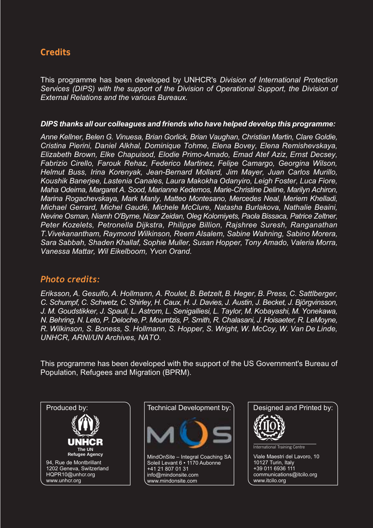# **Credits**

This programme has been developed by UNHCR's *Division of International Protection Services (DIPS) with the support of the Division of Operational Support, the Division of External Relations and the various Bureaux.*

## *DIPS thanks all our colleagues and friends who have helped develop this programme:*

*Anne Kellner, Belen G. Vinuesa, Brian Gorlick, Brian Vaughan, Christian Martin, Clare Goldie, Cristina Pierini, Daniel Alkhal, Dominique Tohme, Elena Bovey, Elena Remishevskaya, Elizabeth Brown, Elke Chapuisod, Elodie Primo-Amado, Emad Atef Aziz, Ernst Decsey, Fabrizio Cirello, Farouk Rehaz, Federico Martinez, Felipe Camargo, Georgina Wilson, Helmut Buss, Irina Korenyak, Jean-Bernard Mollard, Jim Mayer, Juan Carlos Murillo, Koushik Banerjee, Lastenia Canales, Laura Makokha Odanyiro, Leigh Foster, Luca Fiore, Maha Odeima, Margaret A. Sood, Marianne Kedemos, Marie-Christine Deline, Marilyn Achiron, Marina Rogachevskaya, Mark Manly, Matteo Montesano, Mercedes Neal, Meriem Khelladi, Michael Gerrard, Michel Gaudé, Michele McClure, Natasha Burlakova, Nathalie Beaini, Nevine Osman, Niamh O'Byrne, Nizar Zeidan, Oleg Kolomiyets, Paola Bissaca, Patrice Zeltner, Peter Kozelets, Petronella Dijkstra, Philippe Billion, Rajshree Suresh, Ranganathan T.Vivekanantham, Raymond Wilkinson, Reem Alsalem, Sabine Wahning, Sabino Morera, Sara Sabbah, Shaden Khallaf, Sophie Muller, Susan Hopper, Tony Amado, Valeria Morra, Vanessa Mattar, Wil Eikelboom, Yvon Orand.*

## *Photo credits:*

*Eriksson, A. Gesulfo, A. Hollmann, A. Roulet, B. Betzelt, B. Heger, B. Press, C. Sattlberger, C. Schumpf, C. Schwetz, C. Shirley, H. Caux, H. J. Davies, J. Austin, J. Becket, J. Björgvinsson, J. M. Goudstikker, J. Spaull, L. Astrom, L. Senigalliesi, L. Taylor, M. Kobayashi, M. Yonekawa, N. Behring, N. Leto, P. Deloche, P. Moumtzis, P. Smith, R. Chalasani, J. Hoisaeter, R. LeMoyne, R. Wilkinson, S. Boness, S. Hollmann, S. Hopper, S. Wright, W. McCoy, W. Van De Linde, UNHCR, ARNI/UN Archives, NATO.*

This programme has been developed with the support of the US Government's Bureau of Population, Refugees and Migration (BPRM).







www.itcilo.org